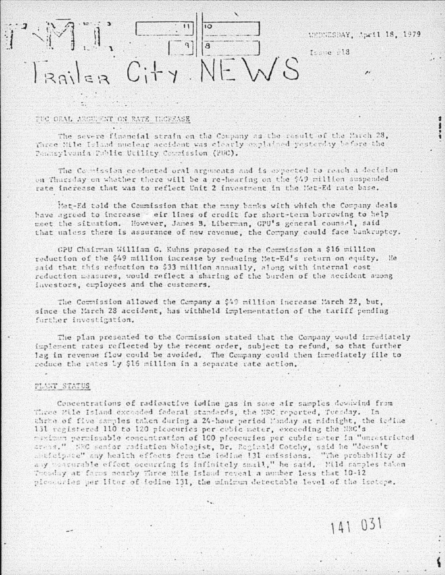# WEDNESDAY, April 18, 1979

141 031

Issue 213

 $C<sub>i</sub>+y$ .

## TUC ORAL ARGUIENT ON RATE INCREASE

The severe financial strain on the Company as the result of the March 28, Three Mile Island nuclear accident was clearly explained yesterday before the Panasylvania Public Utility Counission (PUC).

The Countesion conducted oral arguments and is expected to reach a decision on Thursday on whether there will be a re-hearing on the \$49 million suspended rate increase that was to reflect Unit 2 investment in the Met-Ed rate base.

Met-Ed told the Coumission that the many banks with which the Company deals have agreed to increase - eir lines of credit for short-term borrowing to help meet the situation. However, James B. Liberman, GPU's general counsel, said that unless there is assurance of new revenue, the Company could face bankruptcy.

GPU Chairman William G. Kuhns proposed to the Commission a \$16 million reduction of the \$49 million increase by reducing Met-Ed's return on equity. He said that this reduction to \$33 million annually, along with internal cost reduction measures, would reflect a sharing of the burden of the accident among investors, employees and the customers.

The Commission allowed the Company a \$49 million increase March 22, but, since the March 28 accident, has withheld implementation of the tariff pending further investigation.

The plan presented to the Commission stated that the Company would immediately implement rates reflected by the recent order, subject to refund, so that further lag in revenue flow could be avoided. The Company could then inmediately file to reduce the rates by \$15 million in a separate rate action.

### PLANT STATUS

Concentrations of radioactive iodine gas in some air samples downwind from Three Mile Island exceeded federal standards, the NBC reported, Tuesday. In three of five samples taken during a 24-hour period Monday at midnight, the icdine 131 registered 110 to 120 picocuries per cubic meter, exceeding the NRC's maximum perpissable concentration of 100 picocuries per cubic mater in "unrestricted areas." SEC senior radiation biologist, Dr. Reginald Cotchy, said he "doesn't anticipate" any health effects from the iodine 131 caissions. "The probability of any manurable effect occurring is infinitely small," he said. Mild camples taken Thouday at farms nearby Three Mile Island reveal a number less that 10-12 picovuries per liter of foline 131, the minimum detectable level of the isotope.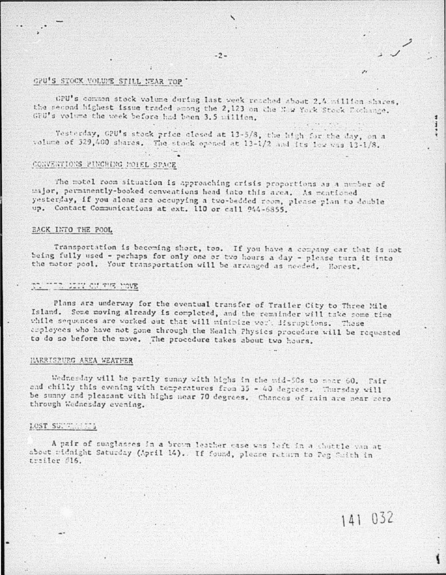# GPU'S STOCK VOLUME STILL NEAR TOP

GPU's common stock volume during last week reached about 2.4 million shares, the second highest issue traded among the 2,123 on the New York Stock Exchange. GPU's volume the week before had been 3.5 million.

Yesterday, GPU's stock price closed at 13-5/8, the high for the day, on a volume of 329,400 shares. The stock opened at 13-1/2 and its low was 13-1/8.

## CONVENTIONS PINCHING MOTEL SPACE

The motel room situation is approaching crisis proportions as a number of major, perminently-booked conventions head into this area. As mentioned yesterday, if you alone are occupying a two-bedded room, please plan to double up. Contact Communications at ext. 110 or call 944-6855.

### **EACK INTO THE POOL**

Transportation is becoming short, too. If you have a company car that is not being fully used - perhaps for only one or two hours a day - please turn it into the motor pool. Your transportation will be arranged as needed. Honest.

# TO TER COUNTRY HOME

Plans are underway for the eventual transfer of Trailer City to Three Mile Island. Some moving already is completed, and the remainder will take some time while sequences are worked out that will minipize work disruptions. Those croloyees who have not gone through the Health Physics procedure will be requested to do so before the move. The procedure takes about two hours.

#### HARRISPURG AREA WEATHER

Wednesday will be partly sunny with highs in the mid-50s to near 60. Fair and chilly this evening with temperatures from 35 - 40 degrees. Thursday will be sunny and pleasant with highs near 70 degrees. Chances of rain are near zero through Wednesday evening.

### LOST SUNTING TO

A pair of sunglasses in a brown leather case was left in a chuttle van at about ridnight Saturday (April 14). If found, please return to Peg Swith in trailer #16.

141 032

i